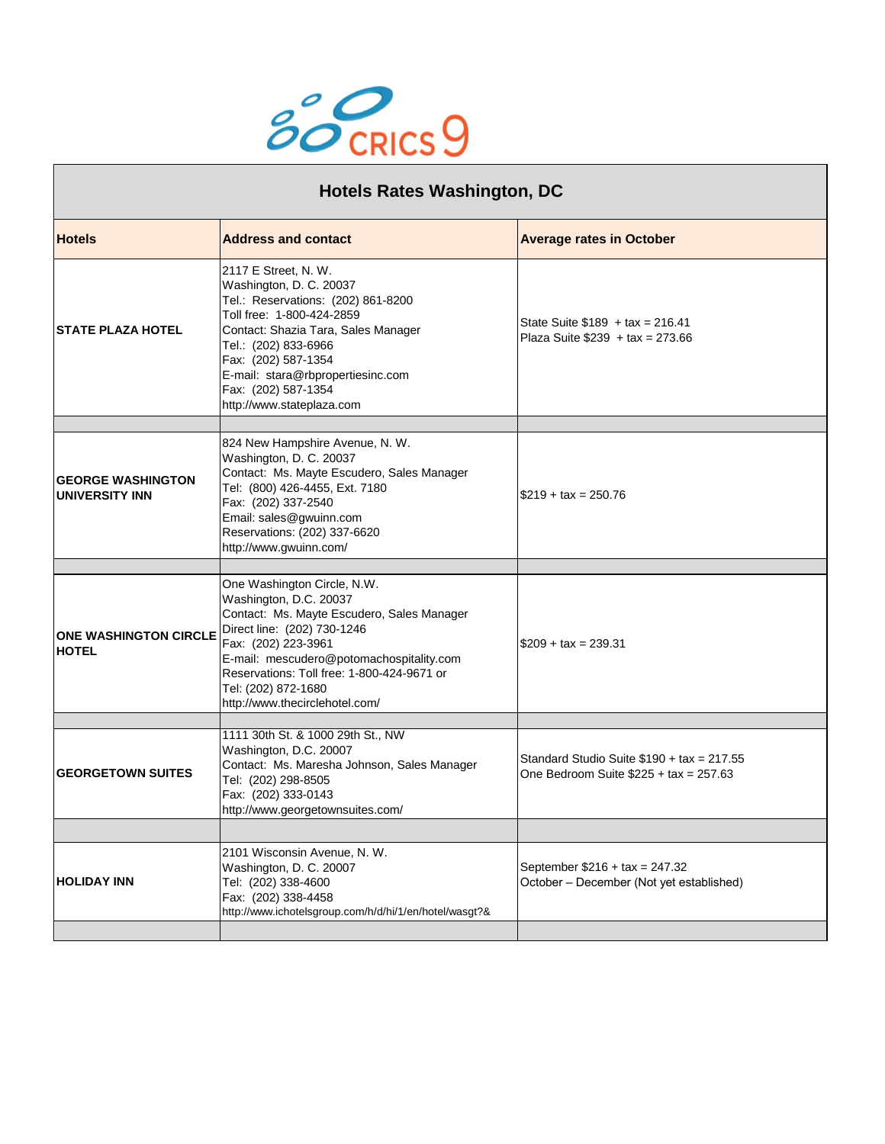

| <b>Hotels Rates Washington, DC</b>           |                                                                                                                                                                                                                                                                                                              |                                                                                        |
|----------------------------------------------|--------------------------------------------------------------------------------------------------------------------------------------------------------------------------------------------------------------------------------------------------------------------------------------------------------------|----------------------------------------------------------------------------------------|
| <b>Hotels</b>                                | <b>Address and contact</b>                                                                                                                                                                                                                                                                                   | <b>Average rates in October</b>                                                        |
| <b>STATE PLAZA HOTEL</b>                     | 2117 E Street, N. W.<br>Washington, D. C. 20037<br>Tel.: Reservations: (202) 861-8200<br>Toll free: 1-800-424-2859<br>Contact: Shazia Tara, Sales Manager<br>Tel.: (202) 833-6966<br>Fax: (202) 587-1354<br>E-mail: stara@rbpropertiesinc.com<br>Fax: (202) 587-1354<br>http://www.stateplaza.com            | State Suite $$189 + tax = 216.41$<br>Plaza Suite $$239 + tax = 273.66$                 |
| <b>GEORGE WASHINGTON</b><br>UNIVERSITY INN   | 824 New Hampshire Avenue, N. W.<br>Washington, D. C. 20037<br>Contact: Ms. Mayte Escudero, Sales Manager<br>Tel: (800) 426-4455, Ext. 7180<br>Fax: (202) 337-2540<br>Email: sales@gwuinn.com<br>Reservations: (202) 337-6620<br>http://www.gwuinn.com/                                                       | $$219 + tax = 250.76$                                                                  |
|                                              |                                                                                                                                                                                                                                                                                                              |                                                                                        |
| <b>ONE WASHINGTON CIRCLE</b><br><b>HOTEL</b> | One Washington Circle, N.W.<br>Washington, D.C. 20037<br>Contact: Ms. Mayte Escudero, Sales Manager<br>Direct line: (202) 730-1246<br>Fax: (202) 223-3961<br>E-mail: mescudero@potomachospitality.com<br>Reservations: Toll free: 1-800-424-9671 or<br>Tel: (202) 872-1680<br>http://www.thecirclehotel.com/ | $$209 + tax = 239.31$                                                                  |
|                                              |                                                                                                                                                                                                                                                                                                              |                                                                                        |
| <b>GEORGETOWN SUITES</b>                     | 1111 30th St. & 1000 29th St., NW<br>Washington, D.C. 20007<br>Contact: Ms. Maresha Johnson, Sales Manager<br>Tel: (202) 298-8505<br>Fax: (202) 333-0143<br>http://www.georgetownsuites.com/                                                                                                                 | Standard Studio Suite $$190 + tax = 217.55$<br>One Bedroom Suite $$225 + tax = 257.63$ |
|                                              |                                                                                                                                                                                                                                                                                                              |                                                                                        |
| <b>HOLIDAY INN</b>                           | 2101 Wisconsin Avenue, N. W.<br>Washington, D. C. 20007<br>Tel: (202) 338-4600<br>Fax: (202) 338-4458<br>http://www.ichotelsgroup.com/h/d/hi/1/en/hotel/wasgt?&                                                                                                                                              | September $$216 + tax = 247.32$<br>October - December (Not yet established)            |
|                                              |                                                                                                                                                                                                                                                                                                              |                                                                                        |